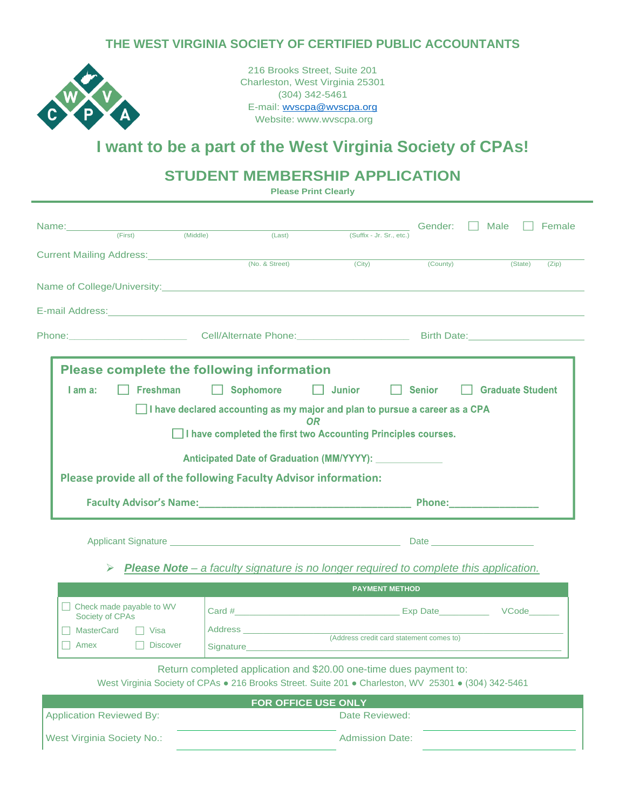#### **THE WEST VIRGINIA SOCIETY OF CERTIFIED PUBLIC ACCOUNTANTS**



216 Brooks Street, Suite 201 Charleston, West Virginia 25301 (304) 342-5461 E-mail: [wvscpa@wvscpa.org](mailto:wvscpa@wvscpa.org) Website: www.wvscpa.org

### **I want to be a part of the West Virginia Society of CPAs!**

### **STUDENT MEMBERSHIP APPLICATION**

**Please Print Clearly**

| Name:___________                                                      |                                   |                 |                                                                                                                                                                                                    |                                                                                                                                                                                                                                     | Gender:       | Male<br>Female          |
|-----------------------------------------------------------------------|-----------------------------------|-----------------|----------------------------------------------------------------------------------------------------------------------------------------------------------------------------------------------------|-------------------------------------------------------------------------------------------------------------------------------------------------------------------------------------------------------------------------------------|---------------|-------------------------|
|                                                                       | (First)                           | (Middle)        | (Last)                                                                                                                                                                                             | (Suffix - Jr. Sr., etc.)                                                                                                                                                                                                            |               |                         |
|                                                                       |                                   |                 | Current Mailing Address: (No. & Street)                                                                                                                                                            |                                                                                                                                                                                                                                     |               |                         |
|                                                                       |                                   |                 |                                                                                                                                                                                                    | (City)                                                                                                                                                                                                                              | (County)      | (State)<br>(Zip)        |
|                                                                       |                                   |                 | Name of College/University: Name of College Anti-                                                                                                                                                  |                                                                                                                                                                                                                                     |               |                         |
|                                                                       |                                   |                 | E-mail Address: Management of the Contract of the Contract of the Contract of the Contract of the Contract of                                                                                      |                                                                                                                                                                                                                                     |               |                         |
|                                                                       |                                   |                 |                                                                                                                                                                                                    |                                                                                                                                                                                                                                     |               |                         |
|                                                                       |                                   |                 | <b>Please complete the following information</b>                                                                                                                                                   |                                                                                                                                                                                                                                     |               |                         |
| I am a:                                                               | <b>Freshman</b>                   |                 | <b>Sophomore</b>                                                                                                                                                                                   | Junior                                                                                                                                                                                                                              | <b>Senior</b> | <b>Graduate Student</b> |
|                                                                       |                                   |                 | $\Box$ I have declared accounting as my major and plan to pursue a career as a CPA                                                                                                                 |                                                                                                                                                                                                                                     |               |                         |
| ΩR<br>□ I have completed the first two Accounting Principles courses. |                                   |                 |                                                                                                                                                                                                    |                                                                                                                                                                                                                                     |               |                         |
|                                                                       |                                   |                 |                                                                                                                                                                                                    |                                                                                                                                                                                                                                     |               |                         |
|                                                                       |                                   |                 | Please provide all of the following Faculty Advisor information:                                                                                                                                   |                                                                                                                                                                                                                                     |               |                         |
|                                                                       |                                   |                 |                                                                                                                                                                                                    |                                                                                                                                                                                                                                     |               |                         |
|                                                                       |                                   |                 |                                                                                                                                                                                                    | Applicant Signature <u>entitled</u> and a state of the control of the control of the control of the control of the control of the control of the control of the control of the control of the control of the control of the control |               |                         |
|                                                                       |                                   |                 |                                                                                                                                                                                                    |                                                                                                                                                                                                                                     |               |                         |
|                                                                       |                                   |                 |                                                                                                                                                                                                    |                                                                                                                                                                                                                                     |               |                         |
|                                                                       |                                   |                 | <b>Please Note</b> – a faculty signature is no longer required to complete this application.                                                                                                       |                                                                                                                                                                                                                                     |               |                         |
|                                                                       |                                   |                 |                                                                                                                                                                                                    | <b>PAYMENT METHOD</b>                                                                                                                                                                                                               |               |                         |
|                                                                       | Check made payable to WV          |                 |                                                                                                                                                                                                    |                                                                                                                                                                                                                                     |               |                         |
| <b>MasterCard</b>                                                     | Society of CPAs<br>Visa           |                 |                                                                                                                                                                                                    |                                                                                                                                                                                                                                     |               |                         |
| Amex                                                                  |                                   | <b>Discover</b> | Signature <b>Signature Signature Signature Signature Signature Signature Signature Signature Signature Signature Signature Signature Signature Signature Signature Signature Signature Signatu</b> | (Address credit card statement comes to)                                                                                                                                                                                            |               |                         |
|                                                                       |                                   |                 |                                                                                                                                                                                                    |                                                                                                                                                                                                                                     |               |                         |
|                                                                       |                                   |                 | Return completed application and \$20.00 one-time dues payment to:<br>West Virginia Society of CPAs . 216 Brooks Street. Suite 201 . Charleston, WV 25301 . (304) 342-5461                         |                                                                                                                                                                                                                                     |               |                         |
|                                                                       |                                   |                 | FOR OFFICE USE ONLY                                                                                                                                                                                |                                                                                                                                                                                                                                     |               |                         |
|                                                                       | <b>Application Reviewed By:</b>   |                 |                                                                                                                                                                                                    | Date Reviewed:                                                                                                                                                                                                                      |               |                         |
|                                                                       | <b>West Virginia Society No.:</b> |                 |                                                                                                                                                                                                    | <b>Admission Date:</b>                                                                                                                                                                                                              |               |                         |